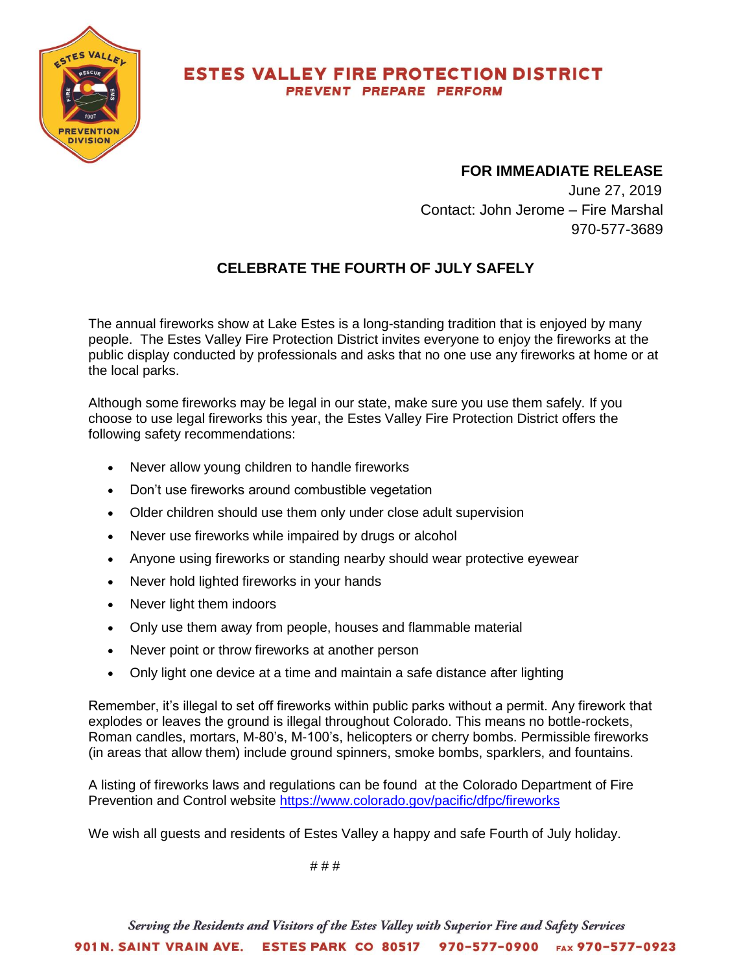

## **ESTES VALLEY FIRE PROTECTION DISTRICT** PREVENT PREPARE PERFORM

## **FOR IMMEADIATE RELEASE**

 June 27, 2019 Contact: John Jerome – Fire Marshal 970-577-3689

## **CELEBRATE THE FOURTH OF JULY SAFELY**

The annual fireworks show at Lake Estes is a long-standing tradition that is enjoyed by many people. The Estes Valley Fire Protection District invites everyone to enjoy the fireworks at the public display conducted by professionals and asks that no one use any fireworks at home or at the local parks.

Although some fireworks may be legal in our state, make sure you use them safely. If you choose to use legal fireworks this year, the Estes Valley Fire Protection District offers the following safety recommendations:

- Never allow young children to handle fireworks
- Don't use fireworks around combustible vegetation
- Older children should use them only under close adult supervision
- Never use fireworks while impaired by drugs or alcohol
- Anyone using fireworks or standing nearby should wear protective eyewear
- Never hold lighted fireworks in your hands
- Never light them indoors
- Only use them away from people, houses and flammable material
- Never point or throw fireworks at another person
- Only light one device at a time and maintain a safe distance after lighting

Remember, it's illegal to set off fireworks within public parks without a permit. Any firework that explodes or leaves the ground is illegal throughout Colorado. This means no bottle-rockets, Roman candles, mortars, M-80's, M-100's, helicopters or cherry bombs. Permissible fireworks (in areas that allow them) include ground spinners, smoke bombs, sparklers, and fountains.

A listing of fireworks laws and regulations can be found at the Colorado Department of Fire Prevention and Control website <https://www.colorado.gov/pacific/dfpc/fireworks>

We wish all guests and residents of Estes Valley a happy and safe Fourth of July holiday.

 $# # #$